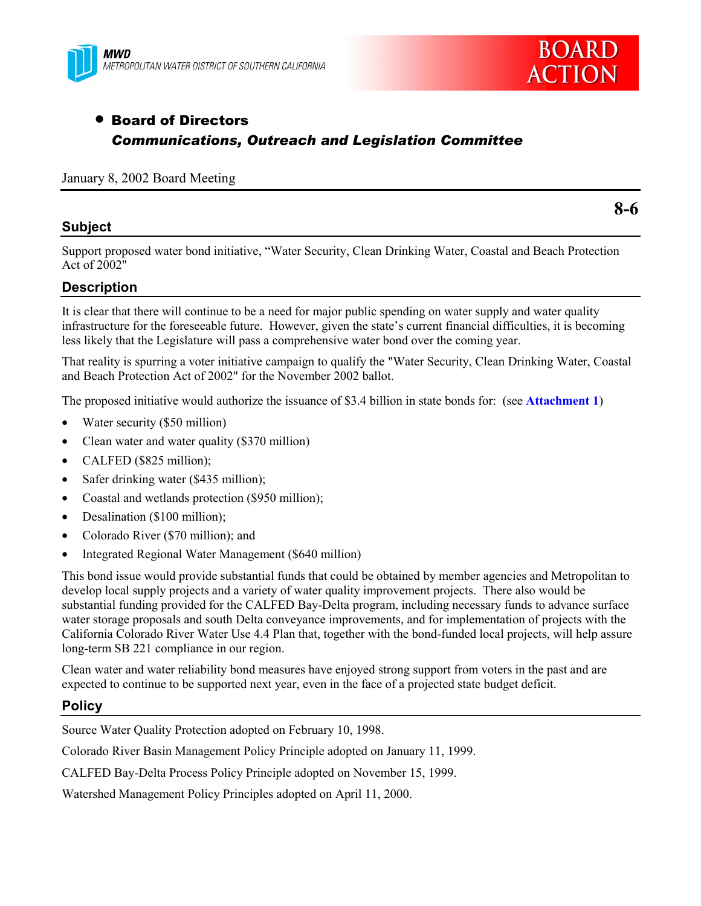



# • Board of Directors *Communications, Outreach and Legislation Committee*

#### January 8, 2002 Board Meeting

### **Subject**

**8-6**

Support proposed water bond initiative, "Water Security, Clean Drinking Water, Coastal and Beach Protection Act of 2002"

## **Description**

It is clear that there will continue to be a need for major public spending on water supply and water quality infrastructure for the foreseeable future. However, given the state's current financial difficulties, it is becoming less likely that the Legislature will pass a comprehensive water bond over the coming year.

That reality is spurring a voter initiative campaign to qualify the "Water Security, Clean Drinking Water, Coastal and Beach Protection Act of 2002" for the November 2002 ballot.

The proposed initiative would authorize the issuance of \$3.4 billion in state bonds for: (see **Attachment 1**)

- Water security (\$50 million)
- Clean water and water quality (\$370 million)
- CALFED (\$825 million);
- Safer drinking water (\$435 million);
- Coastal and wetlands protection (\$950 million);
- Desalination (\$100 million);
- Colorado River (\$70 million); and
- Integrated Regional Water Management (\$640 million)

This bond issue would provide substantial funds that could be obtained by member agencies and Metropolitan to develop local supply projects and a variety of water quality improvement projects. There also would be substantial funding provided for the CALFED Bay-Delta program, including necessary funds to advance surface water storage proposals and south Delta conveyance improvements, and for implementation of projects with the California Colorado River Water Use 4.4 Plan that, together with the bond-funded local projects, will help assure long-term SB 221 compliance in our region.

Clean water and water reliability bond measures have enjoyed strong support from voters in the past and are expected to continue to be supported next year, even in the face of a projected state budget deficit.

#### **Policy**

Source Water Quality Protection adopted on February 10, 1998.

Colorado River Basin Management Policy Principle adopted on January 11, 1999.

CALFED Bay-Delta Process Policy Principle adopted on November 15, 1999.

Watershed Management Policy Principles adopted on April 11, 2000.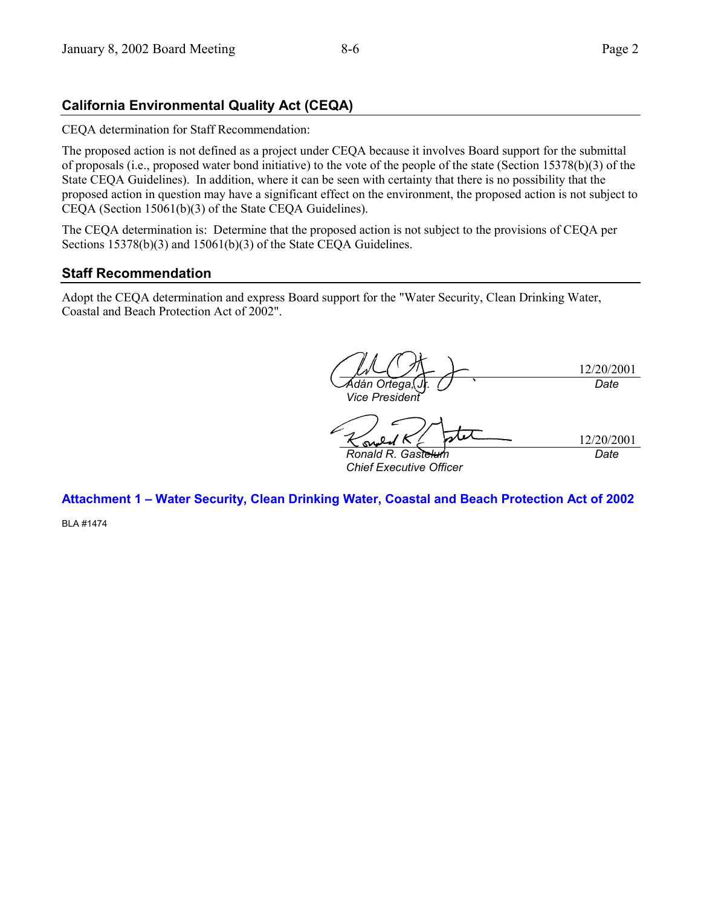## **California Environmental Quality Act (CEQA)**

CEQA determination for Staff Recommendation:

The proposed action is not defined as a project under CEQA because it involves Board support for the submittal of proposals (i.e., proposed water bond initiative) to the vote of the people of the state (Section 15378(b)(3) of the State CEQA Guidelines). In addition, where it can be seen with certainty that there is no possibility that the proposed action in question may have a significant effect on the environment, the proposed action is not subject to CEQA (Section 15061(b)(3) of the State CEQA Guidelines).

The CEQA determination is: Determine that the proposed action is not subject to the provisions of CEQA per Sections 15378(b)(3) and 15061(b)(3) of the State CEQA Guidelines.

## **Staff Recommendation**

Adopt the CEQA determination and express Board support for the "Water Security, Clean Drinking Water, Coastal and Beach Protection Act of 2002".

12/20/2001  $\overline{{\mathsf{A}}$ dán Ortega *Vice President Date* 12/20/2001 *Ronald R. Gastelum Chief Executive Officer Date*

Attachment 1 - Water Security, Clean Drinking Water, Coastal and Beach Protection Act of 2002

BLA #1474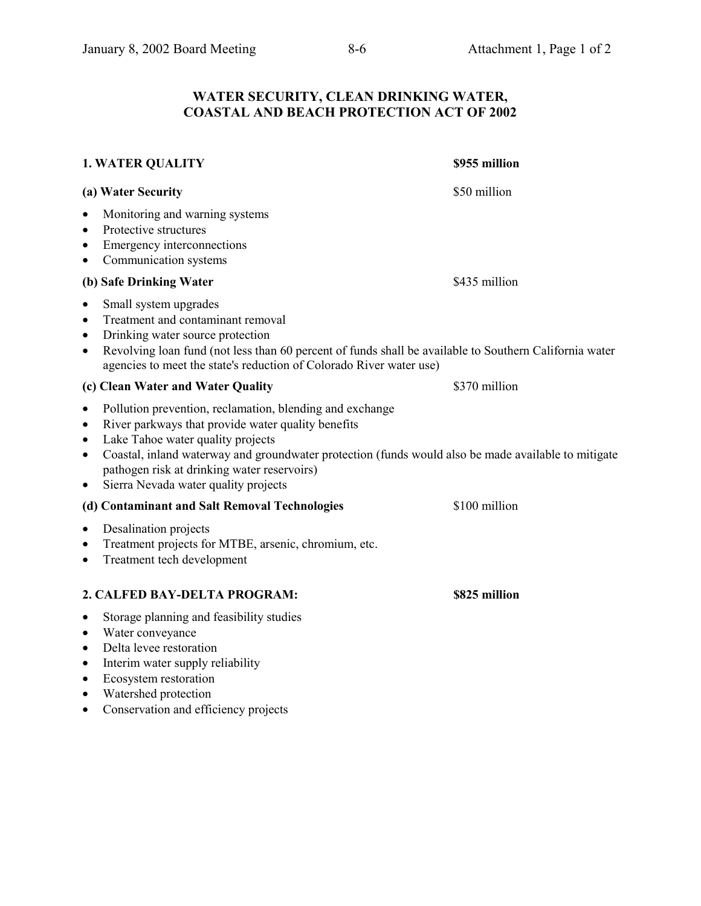## **WATER SECURITY, CLEAN DRINKING WATER, COASTAL AND BEACH PROTECTION ACT OF 2002**

| <b>1. WATER QUALITY</b>                                                                                                                                                                                                                                                                                                                                                                                            | \$955 million |
|--------------------------------------------------------------------------------------------------------------------------------------------------------------------------------------------------------------------------------------------------------------------------------------------------------------------------------------------------------------------------------------------------------------------|---------------|
| (a) Water Security                                                                                                                                                                                                                                                                                                                                                                                                 | \$50 million  |
| Monitoring and warning systems<br>$\bullet$<br>Protective structures<br>$\bullet$<br>Emergency interconnections<br>$\bullet$<br>Communication systems<br>$\bullet$                                                                                                                                                                                                                                                 |               |
| (b) Safe Drinking Water                                                                                                                                                                                                                                                                                                                                                                                            | \$435 million |
| Small system upgrades<br>$\bullet$<br>Treatment and contaminant removal<br>$\bullet$<br>Drinking water source protection<br>$\bullet$<br>Revolving loan fund (not less than 60 percent of funds shall be available to Southern California water<br>$\bullet$<br>agencies to meet the state's reduction of Colorado River water use)                                                                                |               |
| (c) Clean Water and Water Quality                                                                                                                                                                                                                                                                                                                                                                                  | \$370 million |
| Pollution prevention, reclamation, blending and exchange<br>$\bullet$<br>River parkways that provide water quality benefits<br>$\bullet$<br>Lake Tahoe water quality projects<br>$\bullet$<br>Coastal, inland waterway and groundwater protection (funds would also be made available to mitigate<br>$\bullet$<br>pathogen risk at drinking water reservoirs)<br>Sierra Nevada water quality projects<br>$\bullet$ |               |
| (d) Contaminant and Salt Removal Technologies                                                                                                                                                                                                                                                                                                                                                                      | \$100 million |
| Desalination projects<br>$\bullet$<br>Treatment projects for MTBE, arsenic, chromium, etc.<br>$\bullet$<br>Treatment tech development<br>$\bullet$                                                                                                                                                                                                                                                                 |               |
| 2. CALFED BAY-DELTA PROGRAM:                                                                                                                                                                                                                                                                                                                                                                                       | \$825 million |
| Storage planning and feasibility studies<br>$\bullet$<br>Water conveyance<br>$\bullet$<br>Delta levee restoration<br>$\bullet$<br>Interim water supply reliability<br>$\bullet$<br>Ecosystem restoration<br>$\bullet$<br>Watershed protection<br>$\bullet$                                                                                                                                                         |               |

• Conservation and efficiency projects